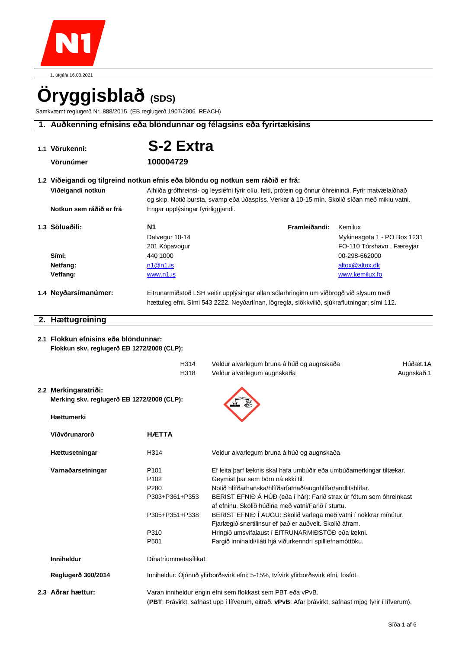

1. útgáfa 16.03.2021

# **Öryggisblað (SDS)**

Samkvæmt reglugerð Nr. 888/2015 (EB reglugerð 1907/2006 REACH)

# **1. Auðkenning efnisins eða blöndunnar og félagsins eða fyrirtækisins**

| 1.1 Vörukenni:                                                                     | S-2 Extra                                                                                                                                                                             |                                                                                                                                                                                                      |                             |  |
|------------------------------------------------------------------------------------|---------------------------------------------------------------------------------------------------------------------------------------------------------------------------------------|------------------------------------------------------------------------------------------------------------------------------------------------------------------------------------------------------|-----------------------------|--|
|                                                                                    |                                                                                                                                                                                       |                                                                                                                                                                                                      |                             |  |
| Vörunúmer                                                                          | 100004729                                                                                                                                                                             |                                                                                                                                                                                                      |                             |  |
| 1.2 Viðeigandi og tilgreind notkun efnis eða blöndu og notkun sem ráðið er frá:    |                                                                                                                                                                                       |                                                                                                                                                                                                      |                             |  |
| Viðeigandi notkun                                                                  |                                                                                                                                                                                       | Alhliða grófhreinsi- og leysiefni fyrir olíu, feiti, prótein og önnur óhreinindi. Fyrir matvælaiðnað<br>og skip. Notið bursta, svamp eða úðaspíss. Verkar á 10-15 mín. Skolið síðan með miklu vatni. |                             |  |
| Notkun sem ráðið er frá                                                            | Engar upplýsingar fyrirliggjandi.                                                                                                                                                     |                                                                                                                                                                                                      |                             |  |
| 1.3 Söluaðili:                                                                     | N1                                                                                                                                                                                    | Framleiðandi:                                                                                                                                                                                        | Kemilux                     |  |
|                                                                                    | Dalvegur 10-14                                                                                                                                                                        |                                                                                                                                                                                                      | Mykinesgøta 1 - PO Box 1231 |  |
|                                                                                    | 201 Kópavogur                                                                                                                                                                         |                                                                                                                                                                                                      | FO-110 Tórshavn, Færeyjar   |  |
| Sími:                                                                              | 440 1000                                                                                                                                                                              |                                                                                                                                                                                                      | 00-298-662000               |  |
| Netfang:                                                                           | n1@n1.is                                                                                                                                                                              |                                                                                                                                                                                                      | altox@altox.dk              |  |
| Veffang:                                                                           | www.n1.is                                                                                                                                                                             |                                                                                                                                                                                                      | www.kemilux.fo              |  |
| 1.4 Neyðarsímanúmer:                                                               |                                                                                                                                                                                       |                                                                                                                                                                                                      |                             |  |
|                                                                                    | Eitrunarmiðstöð LSH veitir upplýsingar allan sólarhringinn um viðbrögð við slysum með<br>hættuleg efni. Sími 543 2222. Neyðarlínan, lögregla, slökkvilið, sjúkraflutningar; sími 112. |                                                                                                                                                                                                      |                             |  |
|                                                                                    |                                                                                                                                                                                       |                                                                                                                                                                                                      |                             |  |
| 2. Hættugreining                                                                   |                                                                                                                                                                                       |                                                                                                                                                                                                      |                             |  |
|                                                                                    |                                                                                                                                                                                       |                                                                                                                                                                                                      |                             |  |
| 2.1 Flokkun efnisins eða blöndunnar:<br>Flokkun skv. reglugerð EB 1272/2008 (CLP): |                                                                                                                                                                                       |                                                                                                                                                                                                      |                             |  |
|                                                                                    |                                                                                                                                                                                       |                                                                                                                                                                                                      |                             |  |
|                                                                                    | H314                                                                                                                                                                                  | Veldur alvarlegum bruna á húð og augnskaða                                                                                                                                                           | Húðæt.1A                    |  |
|                                                                                    | H318                                                                                                                                                                                  | Veldur alvarlegum augnskaða                                                                                                                                                                          | Augnskað.1                  |  |
| 2.2 Merkingaratriði:                                                               |                                                                                                                                                                                       |                                                                                                                                                                                                      |                             |  |
| Merking skv. reglugerð EB 1272/2008 (CLP):                                         |                                                                                                                                                                                       |                                                                                                                                                                                                      |                             |  |
|                                                                                    |                                                                                                                                                                                       |                                                                                                                                                                                                      |                             |  |
| Hættumerki                                                                         |                                                                                                                                                                                       |                                                                                                                                                                                                      |                             |  |
| Viðvörunarorð                                                                      | <b>HÆTTA</b>                                                                                                                                                                          |                                                                                                                                                                                                      |                             |  |
| Hættusetningar                                                                     | H314                                                                                                                                                                                  | Veldur alvarlegum bruna á húð og augnskaða                                                                                                                                                           |                             |  |
| Varnaðarsetningar                                                                  | P <sub>101</sub>                                                                                                                                                                      | Ef leita þarf læknis skal hafa umbúðir eða umbúðamerkingar tiltækar.                                                                                                                                 |                             |  |
|                                                                                    | P102                                                                                                                                                                                  | Geymist þar sem börn ná ekki til.                                                                                                                                                                    |                             |  |
|                                                                                    | P280                                                                                                                                                                                  | Notið hlífðarhanska/hlífðarfatnað/augnhlífar/andlitshlífar.                                                                                                                                          |                             |  |
|                                                                                    | P303+P361+P353                                                                                                                                                                        | BERIST EFNIÐ Á HÚÐ (eða í hár): Farið strax úr fötum sem óhreinkast                                                                                                                                  |                             |  |
|                                                                                    |                                                                                                                                                                                       | af efninu. Skolið húðina með vatni/Farið í sturtu.                                                                                                                                                   |                             |  |
|                                                                                    | P305+P351+P338                                                                                                                                                                        | BERIST EFNIÐ Í AUGU: Skolið varlega með vatni í nokkrar mínútur.<br>Fjarlægið snertilinsur ef það er auðvelt. Skolið áfram.                                                                          |                             |  |
|                                                                                    | P310                                                                                                                                                                                  | Hringið umsvifalaust í EITRUNARMIÐSTÖÐ eða lækni.                                                                                                                                                    |                             |  |
|                                                                                    | P501                                                                                                                                                                                  | Fargið innihaldi/íláti hjá viðurkenndri spilliefnamóttöku.                                                                                                                                           |                             |  |
| Inniheldur                                                                         | Dínatríummetasílikat.                                                                                                                                                                 |                                                                                                                                                                                                      |                             |  |
| Reglugerð 300/2014                                                                 | Inniheldur: Ójónuð yfirborðsvirk efni: 5-15%, tvívirk yfirborðsvirk efni, fosföt.                                                                                                     |                                                                                                                                                                                                      |                             |  |

**2.3 Aðrar hættur:** Varan inniheldur engin efni sem flokkast sem PBT eða vPvB.

(**PBT**: Þrávirkt, safnast upp í lífverum, eitrað. **vPvB**: Afar þrávirkt, safnast mjög fyrir í lífverum).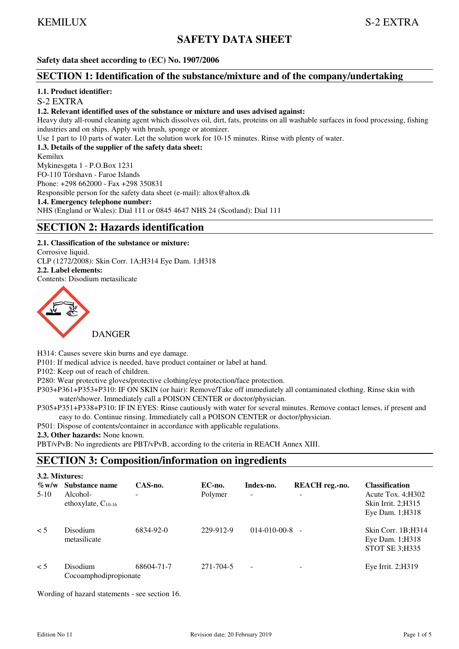# **SAFETY DATA SHEET**

**Safety data sheet according to (EC) No. 1907/2006** 

# **SECTION 1: Identification of the substance/mixture and of the company/undertaking**

## **1.1. Product identifier:**

## S-2 EXTRA

## **1.2. Relevant identified uses of the substance or mixture and uses advised against:**

Heavy duty all-round cleaning agent which dissolves oil, dirt, fats, proteins on all washable surfaces in food processing, fishing industries and on ships. Apply with brush, sponge or atomizer.

Use 1 part to 10 parts of water. Let the solution work for 10-15 minutes. Rinse with plenty of water.

## **1.3. Details of the supplier of the safety data sheet:**

Kemilux

#### Mykinesgøta 1 - P.O.Box 1231

FO-110 Tórshavn - Faroe Islands

Phone: +298 662000 - Fax +298 350831

Responsible person for the safety data sheet (e-mail): altox@altox.dk

#### **1.4. Emergency telephone number:**

NHS (England or Wales): Dial 111 or 0845 4647 NHS 24 (Scotland): Dial 111

# **SECTION 2: Hazards identification**

**2.1. Classification of the substance or mixture:**  Corrosive liquid. CLP (1272/2008): Skin Corr. 1A;H314 Eye Dam. 1;H318 **2.2. Label elements:**  Contents: Disodium metasilicate



H314: Causes severe skin burns and eye damage.

P101: If medical advice is needed, have product container or label at hand.

P102: Keep out of reach of children.

P280: Wear protective gloves/protective clothing/eye protection/face protection.

P303+P361+P353+P310: IF ON SKIN (or hair): Remove/Take off immediately all contaminated clothing. Rinse skin with water/shower. Immediately call a POISON CENTER or doctor/physician.

- P305+P351+P338+P310: IF IN EYES: Rinse cautiously with water for several minutes. Remove contact lenses, if present and easy to do. Continue rinsing. Immediately call a POISON CENTER or doctor/physician.
- P501: Dispose of contents/container in accordance with applicable regulations.
- **2.3. Other hazards:** None known.

PBT/vPvB: No ingredients are PBT/vPvB, according to the criteria in REACH Annex XIII.

# **SECTION 3: Composition/information on ingredients**

| 3.2. Mixtures:     |                                                       |              |                   |                                       |                     |                                                                                             |
|--------------------|-------------------------------------------------------|--------------|-------------------|---------------------------------------|---------------------|---------------------------------------------------------------------------------------------|
| $\%$ w/w<br>$5-10$ | Substance name<br>Alcohol-<br>ethoxylate, $C_{10-16}$ | CAS-no.<br>- | EC-no.<br>Polymer | Index-no.<br>$\overline{\phantom{a}}$ | REACH reg.-no.<br>- | <b>Classification</b><br>Acute Tox. $4:$ H $302$<br>Skin Irrit. 2:H315<br>Eye Dam. $1;H318$ |
| $\leq 5$           | <b>Disodium</b><br>metasilicate                       | 6834-92-0    | 229-912-9         | $014 - 010 - 00 - 8$                  |                     | Skin Corr. 1B;H314<br>Eye Dam. 1; H318<br><b>STOT SE 3; H335</b>                            |
| $\leq$ 5           | Disodium<br>Cocoamphodipropionate                     | 68604-71-7   | 271-704-5         | $\sim$                                |                     | Eye Irrit. $2;H319$                                                                         |

Wording of hazard statements - see section 16.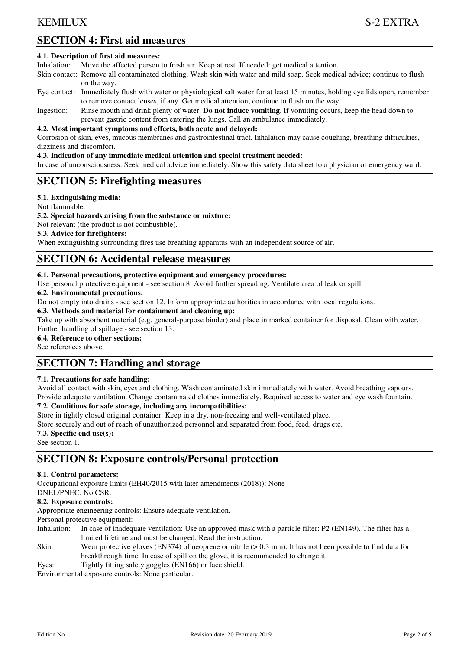# **SECTION 4: First aid measures**

#### **4.1. Description of first aid measures:**

Inhalation: Move the affected person to fresh air. Keep at rest. If needed: get medical attention.

Skin contact: Remove all contaminated clothing. Wash skin with water and mild soap. Seek medical advice; continue to flush on the way.

- Eye contact: Immediately flush with water or physiological salt water for at least 15 minutes, holding eye lids open, remember to remove contact lenses, if any. Get medical attention; continue to flush on the way.
- Ingestion: Rinse mouth and drink plenty of water. **Do not induce vomiting**. If vomiting occurs, keep the head down to prevent gastric content from entering the lungs. Call an ambulance immediately.

#### **4.2. Most important symptoms and effects, both acute and delayed:**

Corrosion of skin, eyes, mucous membranes and gastrointestinal tract. Inhalation may cause coughing, breathing difficulties, dizziness and discomfort.

#### **4.3. Indication of any immediate medical attention and special treatment needed:**

In case of unconsciousness: Seek medical advice immediately. Show this safety data sheet to a physician or emergency ward.

# **SECTION 5: Firefighting measures**

## **5.1. Extinguishing media:**

Not flammable.

#### **5.2. Special hazards arising from the substance or mixture:**

Not relevant (the product is not combustible).

## **5.3. Advice for firefighters:**

When extinguishing surrounding fires use breathing apparatus with an independent source of air.

# **SECTION 6: Accidental release measures**

## **6.1. Personal precautions, protective equipment and emergency procedures:**

Use personal protective equipment - see section 8. Avoid further spreading. Ventilate area of leak or spill.

## **6.2. Environmental precautions:**

Do not empty into drains - see section 12. Inform appropriate authorities in accordance with local regulations.

#### **6.3. Methods and material for containment and cleaning up:**

Take up with absorbent material (e.g. general-purpose binder) and place in marked container for disposal. Clean with water. Further handling of spillage - see section 13.

#### **6.4. Reference to other sections:**

See references above.

# **SECTION 7: Handling and storage**

## **7.1. Precautions for safe handling:**

Avoid all contact with skin, eyes and clothing. Wash contaminated skin immediately with water. Avoid breathing vapours. Provide adequate ventilation. Change contaminated clothes immediately. Required access to water and eye wash fountain.

## **7.2. Conditions for safe storage, including any incompatibilities:**

Store in tightly closed original container. Keep in a dry, non-freezing and well-ventilated place.

Store securely and out of reach of unauthorized personnel and separated from food, feed, drugs etc.

## **7.3. Specific end use(s):**

See section 1.

# **SECTION 8: Exposure controls/Personal protection**

# **8.1. Control parameters:**

Occupational exposure limits (EH40/2015 with later amendments (2018)): None

# DNEL/PNEC: No CSR.

# **8.2. Exposure controls:**

Appropriate engineering controls: Ensure adequate ventilation.

Personal protective equipment:

- Inhalation: In case of inadequate ventilation: Use an approved mask with a particle filter: P2 (EN149). The filter has a limited lifetime and must be changed. Read the instruction.
- Skin: Wear protective gloves (EN374) of neoprene or nitrile (> 0.3 mm). It has not been possible to find data for breakthrough time. In case of spill on the glove, it is recommended to change it.
- Eyes: Tightly fitting safety goggles (EN166) or face shield.

Environmental exposure controls: None particular.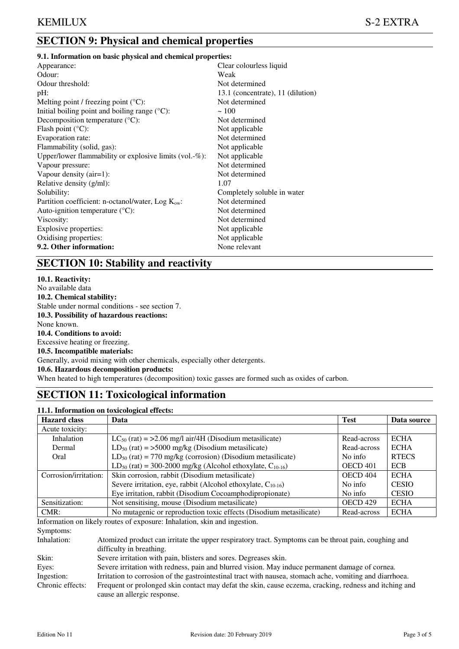# **SECTION 9: Physical and chemical properties**

## **9.1. Information on basic physical and chemical properties:**

| Appearance:                                                 | Clear colourless liquid           |
|-------------------------------------------------------------|-----------------------------------|
| Odour:                                                      | Weak                              |
| Odour threshold:                                            | Not determined                    |
| $pH$ :                                                      | 13.1 (concentrate), 11 (dilution) |
| Melting point / freezing point $(^{\circ}C)$ :              | Not determined                    |
| Initial boiling point and boiling range $({}^{\circ}C)$ :   | ~100                              |
| Decomposition temperature $({}^{\circ}C)$ :                 | Not determined                    |
| Flash point $(^{\circ}C)$ :                                 | Not applicable                    |
| Evaporation rate:                                           | Not determined                    |
| Flammability (solid, gas):                                  | Not applicable                    |
| Upper/lower flammability or explosive limits (vol. $-\%$ ): | Not applicable                    |
| Vapour pressure:                                            | Not determined                    |
| Vapour density $(air=1)$ :                                  | Not determined                    |
| Relative density (g/ml):                                    | 1.07                              |
| Solubility:                                                 | Completely soluble in water       |
| Partition coefficient: n-octanol/water, $Log Kow$ :         | Not determined                    |
| Auto-ignition temperature $({}^{\circ}C)$ :                 | Not determined                    |
| Viscosity:                                                  | Not determined                    |
| Explosive properties:                                       | Not applicable                    |
| Oxidising properties:                                       | Not applicable                    |
| 9.2. Other information:                                     | None relevant                     |
|                                                             |                                   |

# **SECTION 10: Stability and reactivity**

**10.1. Reactivity:**  No available data **10.2. Chemical stability:**  Stable under normal conditions - see section 7. **10.3. Possibility of hazardous reactions:**  None known. **10.4. Conditions to avoid:**  Excessive heating or freezing. **10.5. Incompatible materials:**  Generally, avoid mixing with other chemicals, especially other detergents. **10.6. Hazardous decomposition products:**  When heated to high temperatures (decomposition) toxic gasses are formed such as oxides of carbon.

# **SECTION 11: Toxicological information**

# **11.1. Information on toxicological effects:**

| <b>Hazard class</b>   | Data                                                                       | <b>Test</b>     | Data source  |
|-----------------------|----------------------------------------------------------------------------|-----------------|--------------|
| Acute toxicity:       |                                                                            |                 |              |
| Inhalation            | $LC_{50}$ (rat) = >2.06 mg/l air/4H (Disodium metasilicate)                | Read-across     | <b>ECHA</b>  |
| Dermal                | $LD_{50}$ (rat) = >5000 mg/kg (Disodium metasilicate)                      | Read-across     | <b>ECHA</b>  |
| Oral                  | $LD_{50}$ (rat) = 770 mg/kg (corrosion) (Disodium metasilicate)            | No info         | <b>RTECS</b> |
|                       | LD <sub>50</sub> (rat) = 300-2000 mg/kg (Alcohol ethoxylate, $C_{10-16}$ ) | <b>OECD 401</b> | <b>ECB</b>   |
| Corrosion/irritation: | Skin corrosion, rabbit (Disodium metasilicate)                             | OECD 404        | <b>ECHA</b>  |
|                       | Severe irritation, eye, rabbit (Alcohol ethoxylate, $C_{10-16}$ )          | No info         | <b>CESIO</b> |
|                       | Eye irritation, rabbit (Disodium Cocoamphodipropionate)                    | No info         | <b>CESIO</b> |
| Sensitization:        | Not sensitising, mouse (Disodium metasilicate)                             | <b>OECD 429</b> | <b>ECHA</b>  |
| $CMR$ :               | No mutagenic or reproduction toxic effects (Disodium metasilicate)         | Read-across     | <b>ECHA</b>  |

Information on likely routes of exposure: Inhalation, skin and ingestion. Symptoms:

| Inhalation: | Atomized product can irritate the upper respiratory tract. Symptoms can be throat pain, coughing and |  |  |  |  |
|-------------|------------------------------------------------------------------------------------------------------|--|--|--|--|
|             | difficulty in breathing.                                                                             |  |  |  |  |
| Skin:       | Severe irritation with pain, blisters and sores. Degreases skin.                                     |  |  |  |  |
|             |                                                                                                      |  |  |  |  |

Eyes: Severe irritation with redness, pain and blurred vision. May induce permanent damage of cornea. Ingestion: Irritation to corrosion of the gastrointestinal tract with nausea, stomach ache, vomiting and diarrhoea.

Chronic effects: Frequent or prolonged skin contact may defat the skin, cause eczema, cracking, redness and itching and cause an allergic response.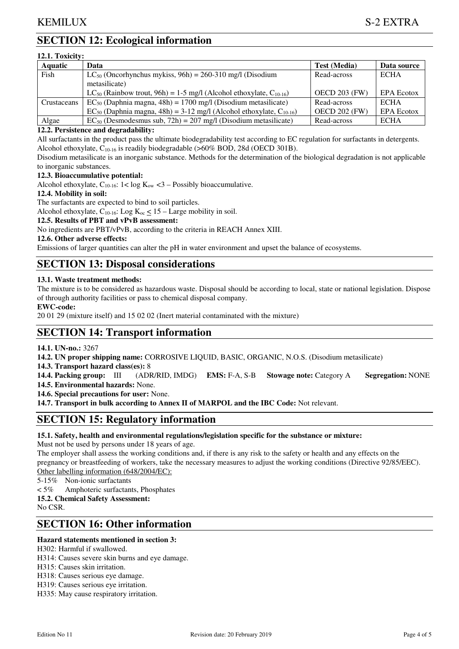# **SECTION 12: Ecological information**

| 12.1. Toxicity: |                                                                               |                      |                   |  |  |
|-----------------|-------------------------------------------------------------------------------|----------------------|-------------------|--|--|
| <b>Aquatic</b>  | Data                                                                          | <b>Test (Media)</b>  | Data source       |  |  |
| Fish            | $LC_{50}$ (Oncorhynchus mykiss, 96h) = 260-310 mg/l (Disodium                 | Read-across          | <b>ECHA</b>       |  |  |
|                 | metasilicate)                                                                 |                      |                   |  |  |
|                 | $LC_{50}$ (Rainbow trout, 96h) = 1-5 mg/l (Alcohol ethoxylate, $C_{10-16}$ )  | <b>OECD 203 (FW)</b> | <b>EPA Ecotox</b> |  |  |
| Crustaceans     | $EC_{50}$ (Daphnia magna, 48h) = 1700 mg/l (Disodium metasilicate)            | Read-across          | <b>ECHA</b>       |  |  |
|                 | $EC_{50}$ (Daphnia magna, 48h) = 3-12 mg/l (Alcohol ethoxylate, $C_{10-16}$ ) | <b>OECD 202 (FW)</b> | <b>EPA Ecotox</b> |  |  |
| Algae           | $EC_{50}$ (Desmodesmus sub, 72h) = 207 mg/l (Disodium metasilicate)           | Read-across          | <b>ECHA</b>       |  |  |

## **12.2. Persistence and degradability:**

All surfactants in the product pass the ultimate biodegradability test according to EC regulation for surfactants in detergents. Alcohol ethoxylate,  $C_{10-16}$  is readily biodegradable (>60% BOD, 28d (OECD 301B).

Disodium metasilicate is an inorganic substance. Methods for the determination of the biological degradation is not applicable to inorganic substances.

# **12.3. Bioaccumulative potential:**

Alcohol ethoxylate,  $C_{10-16}$ :  $1 < \log K_{ow} < 3 -$  Possibly bioaccumulative.

## **12.4. Mobility in soil:**

The surfactants are expected to bind to soil particles.

Alcohol ethoxylate,  $C_{10-16}$ : Log  $K_{oc} \le 15$  – Large mobility in soil.

## **12.5. Results of PBT and vPvB assessment:**

No ingredients are PBT/vPvB, according to the criteria in REACH Annex XIII.

## **12.6. Other adverse effects:**

Emissions of larger quantities can alter the pH in water environment and upset the balance of ecosystems.

# **SECTION 13: Disposal considerations**

## **13.1. Waste treatment methods:**

The mixture is to be considered as hazardous waste. Disposal should be according to local, state or national legislation. Dispose of through authority facilities or pass to chemical disposal company.

## **EWC-code:**

20 01 29 (mixture itself) and 15 02 02 (Inert material contaminated with the mixture)

# **SECTION 14: Transport information**

## **14.1. UN-no.:** 3267

**14.2. UN proper shipping name:** CORROSIVE LIQUID, BASIC, ORGANIC, N.O.S. (Disodium metasilicate)

**14.3. Transport hazard class(es):** 8

**14.4. Packing group:** III (ADR/RID, IMDG) **EMS:** F-A, S-B **Stowage note:** Category A **Segregation:** NONE **14.5. Environmental hazards:** None.

**14.6. Special precautions for user:** None.

**14.7. Transport in bulk according to Annex II of MARPOL and the IBC Code:** Not relevant.

# **SECTION 15: Regulatory information**

## **15.1. Safety, health and environmental regulations/legislation specific for the substance or mixture:**

Must not be used by persons under 18 years of age.

The employer shall assess the working conditions and, if there is any risk to the safety or health and any effects on the pregnancy or breastfeeding of workers, take the necessary measures to adjust the working conditions (Directive 92/85/EEC). Other labelling information (648/2004/EC):

5-15% Non-ionic surfactants

< 5% Amphoteric surfactants, Phosphates

**15.2. Chemical Safety Assessment:** 

No CSR.

# **SECTION 16: Other information**

# **Hazard statements mentioned in section 3:**

H302: Harmful if swallowed.

H314: Causes severe skin burns and eye damage.

H315: Causes skin irritation.

H318: Causes serious eye damage.

H319: Causes serious eye irritation.

H335: May cause respiratory irritation.